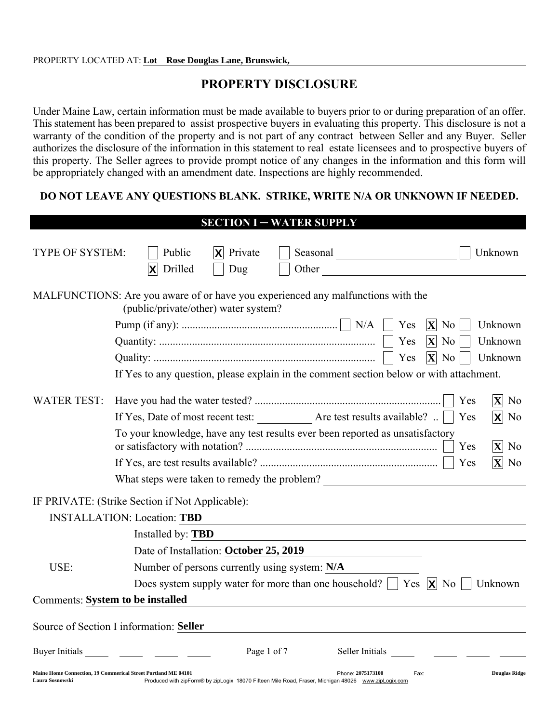## PROPERTY DISCLOSURE

Under Maine Law, certain information must be made available to buyers prior to or during preparation of an offer. This statement has been prepared to assist prospective buyers in evaluating this property. This disclosure is not a warranty of the condition of the property and is not part of any contract between Seller and any Buyer. Seller authorizes the disclosure of the information in this statement to real estate licensees and to prospective buyers of this property. The Seller agrees to provide prompt notice of any changes in the information and this form will be appropriately changed with an amendment date. Inspections are highly recommended.

#### DO NOT LEAVE ANY QUESTIONS BLANK. STRIKE, WRITE N/A OR UNKNOWN IF NEEDED.

|                                         | <b>SECTION I-WATER SUPPLY</b>                                                                                                                                                                                             |
|-----------------------------------------|---------------------------------------------------------------------------------------------------------------------------------------------------------------------------------------------------------------------------|
| TYPE OF SYSTEM:                         | $ \mathbf{X} $ Private<br>Public<br>Unknown<br>Drilled<br>$ \mathsf{X} $<br>Dug<br>Other                                                                                                                                  |
|                                         | MALFUNCTIONS: Are you aware of or have you experienced any malfunctions with the<br>(public/private/other) water system?                                                                                                  |
|                                         | Yes<br>$ X $ No<br>Unknown                                                                                                                                                                                                |
|                                         | Yes<br>$ \mathbf{X} $<br>Unknown<br>N <sub>o</sub>                                                                                                                                                                        |
|                                         | $ \mathbf{X} $ No<br>Yes<br>Unknown                                                                                                                                                                                       |
|                                         | If Yes to any question, please explain in the comment section below or with attachment.                                                                                                                                   |
| <b>WATER TEST:</b>                      | $ X $ No<br>Yes                                                                                                                                                                                                           |
|                                         | If Yes, Date of most recent test: ____________ Are test results available?<br>$\mathsf{X}$ No<br>Yes                                                                                                                      |
|                                         | To your knowledge, have any test results ever been reported as unsatisfactory<br>$ \mathbf{X} $ No<br>Yes                                                                                                                 |
|                                         | $\mathbf{X}$ No<br>Yes                                                                                                                                                                                                    |
|                                         | What steps were taken to remedy the problem?                                                                                                                                                                              |
|                                         | IF PRIVATE: (Strike Section if Not Applicable):                                                                                                                                                                           |
|                                         | <b>INSTALLATION: Location: TBD</b>                                                                                                                                                                                        |
|                                         | Installed by: TBD                                                                                                                                                                                                         |
|                                         | Date of Installation: October 25, 2019                                                                                                                                                                                    |
| USE:                                    | Number of persons currently using system: N/A                                                                                                                                                                             |
|                                         | Does system supply water for more than one household? $\parallel$ Yes $\parallel \mathbf{X} \parallel$ No<br>Unknown                                                                                                      |
| <b>Comments: System to be installed</b> |                                                                                                                                                                                                                           |
|                                         | Source of Section I information: Seller                                                                                                                                                                                   |
| Buyer Initials                          | Page 1 of 7<br>Seller Initials                                                                                                                                                                                            |
| Laura Sosnowski                         | Maine Home Connection, 19 Commerical Street Portland ME 04101<br>Phone: 2075173100<br><b>Douglas Ridge</b><br>Fax:<br>Produced with zipForm® by zipLogix 18070 Fifteen Mile Road, Fraser, Michigan 48026 www.zipLogix.com |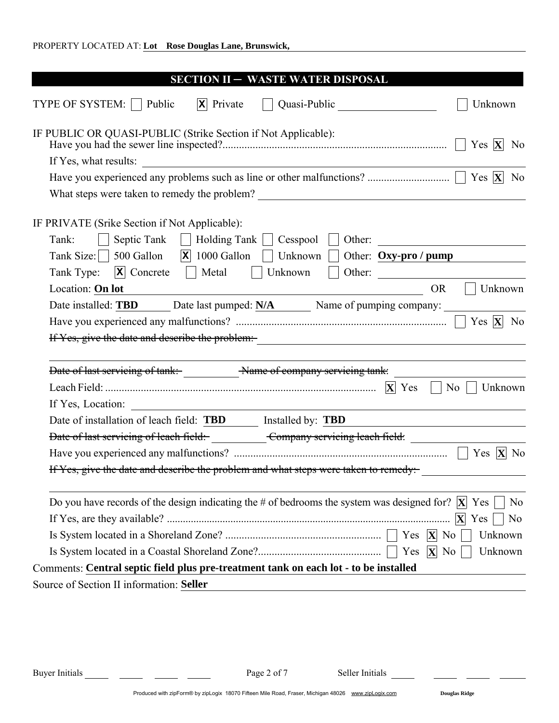| <b>SECTION II - WASTE WATER DISPOSAL</b>                                                                                                                                       |
|--------------------------------------------------------------------------------------------------------------------------------------------------------------------------------|
| TYPE OF SYSTEM:   Public<br>$ \mathbf{x} $ Private<br>Quasi-Public<br>Unknown                                                                                                  |
| IF PUBLIC OR QUASI-PUBLIC (Strike Section if Not Applicable):<br>Yes $ \mathbf{X} $<br>N <sub>0</sub>                                                                          |
| If Yes, what results:                                                                                                                                                          |
|                                                                                                                                                                                |
|                                                                                                                                                                                |
| IF PRIVATE (Srike Section if Not Applicable):<br>Septic Tank<br>Holding Tank     Cesspool<br>Tank:<br>Other:<br>a di Ba                                                        |
| Tank Size: $\vert$ 500 Gallon  x  1000 Gallon  <br>Unknown  <br>Other: Oxy-pro/pump                                                                                            |
| Tank Type:<br>$ \mathbf{x} $ Concrete $ \cdot $<br>Other:<br>Metal<br>Unknown                                                                                                  |
| Location: On lot<br><b>OR</b><br>Unknown                                                                                                                                       |
| Date installed: TBD Date last pumped: N/A Name of pumping company:                                                                                                             |
| Yes $ \mathbf{X} $ No                                                                                                                                                          |
| If Yes, give the date and describe the problem:-<br><u>If Yes, give the date and describe the problem:</u>                                                                     |
| Date of last servicing of tank: Name of company servicing tank:                                                                                                                |
| $\overline{N_0}$    <br>Unknown                                                                                                                                                |
|                                                                                                                                                                                |
| Date of installation of leach field: <b>TBD</b> Installed by: <b>TBD</b>                                                                                                       |
| Date of last servicing of leach field: Company servicing leach field:                                                                                                          |
| Yes $ \mathbf{X} $ No                                                                                                                                                          |
| If Yes, give the date and describe the problem and what steps were taken to remedy:                                                                                            |
| Do you have records of the design indicating the # of bedrooms the system was designed for? $ \mathbf{X} $<br>Yes<br>N <sub>0</sub><br>$ \mathbf{X} $<br>Yes<br>N <sub>0</sub> |
| Yes $ \mathbf{X} $<br>N <sub>0</sub><br>Unknown                                                                                                                                |
| $\mathbf{X}$ No                                                                                                                                                                |
| Yes<br>Unknown                                                                                                                                                                 |
| Comments: Central septic field plus pre-treatment tank on each lot - to be installed                                                                                           |
| Source of Section II information: Seller                                                                                                                                       |

÷.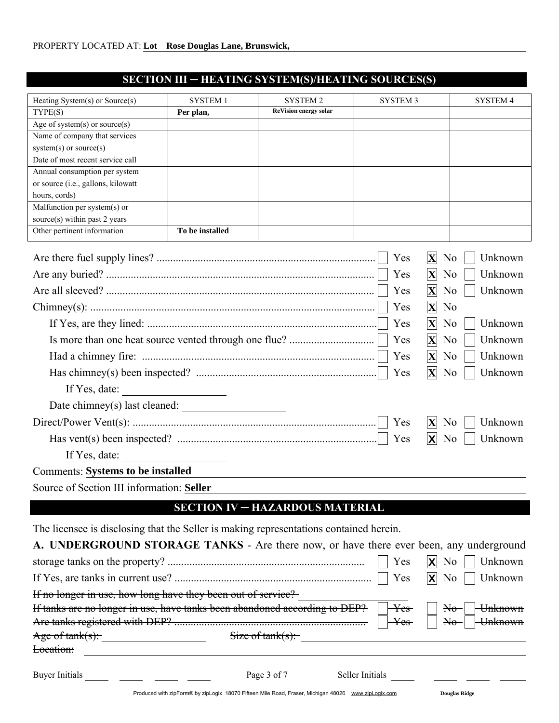# SECTION III ─ HEATING SYSTEM(S)/HEATING SOURCES(S)

| Heating System(s) or Source(s)                                                         | <b>SYSTEM1</b>            | <b>SYSTEM 2</b>                                                                                     | <b>SYSTEM 3</b>        | <b>SYSTEM 4</b>                             |
|----------------------------------------------------------------------------------------|---------------------------|-----------------------------------------------------------------------------------------------------|------------------------|---------------------------------------------|
| TYPE(S)                                                                                | Per plan,                 | <b>ReVision energy solar</b>                                                                        |                        |                                             |
| Age of system(s) or source(s)                                                          |                           |                                                                                                     |                        |                                             |
| Name of company that services                                                          |                           |                                                                                                     |                        |                                             |
| system(s) or source(s)                                                                 |                           |                                                                                                     |                        |                                             |
| Date of most recent service call                                                       |                           |                                                                                                     |                        |                                             |
| Annual consumption per system<br>or source (i.e., gallons, kilowatt                    |                           |                                                                                                     |                        |                                             |
| hours, cords)                                                                          |                           |                                                                                                     |                        |                                             |
| Malfunction per system(s) or                                                           |                           |                                                                                                     |                        |                                             |
| source(s) within past 2 years                                                          |                           |                                                                                                     |                        |                                             |
| Other pertinent information                                                            | To be installed           |                                                                                                     |                        |                                             |
|                                                                                        |                           |                                                                                                     | Yes<br>$ \mathbf{X} $  | Unknown<br>N <sub>0</sub>                   |
|                                                                                        |                           |                                                                                                     | Yes<br>$ \mathbf{X} $  | N <sub>0</sub><br>Unknown                   |
|                                                                                        |                           |                                                                                                     | $ \mathbf{X} $<br>Yes  | Unknown<br>N <sub>o</sub>                   |
|                                                                                        |                           |                                                                                                     | $ \mathbf{X} $<br>Yes  | N <sub>0</sub>                              |
|                                                                                        |                           |                                                                                                     | $ \mathbf{X} $<br>Yes  | N <sub>o</sub><br>Unknown                   |
|                                                                                        |                           |                                                                                                     | Yes<br>$ \mathbf{X} $  | N <sub>0</sub><br>Unknown                   |
|                                                                                        |                           |                                                                                                     | $ \mathbf{X} $<br>Yes  | N <sub>0</sub><br>Unknown                   |
| Yes<br>$ \mathbf{X} $                                                                  |                           |                                                                                                     |                        | Unknown<br>N <sub>0</sub>                   |
| If Yes, date: $\qquad \qquad$                                                          |                           |                                                                                                     |                        |                                             |
|                                                                                        |                           |                                                                                                     |                        |                                             |
|                                                                                        |                           |                                                                                                     | Yes<br>$ \mathbf{X} $  | Unknown<br>N <sub>0</sub>                   |
|                                                                                        |                           |                                                                                                     | Yes<br>$ {\mathsf X} $ | Unknown<br>N <sub>0</sub>                   |
| If Yes, date:                                                                          |                           |                                                                                                     |                        |                                             |
| <b>Comments: Systems to be installed</b>                                               |                           |                                                                                                     |                        |                                             |
| Source of Section III information: Seller                                              |                           |                                                                                                     |                        |                                             |
|                                                                                        |                           | <b>SECTION IV - HAZARDOUS MATERIAL</b>                                                              |                        |                                             |
|                                                                                        |                           |                                                                                                     |                        |                                             |
| The licensee is disclosing that the Seller is making representations contained herein. |                           |                                                                                                     |                        |                                             |
| A. UNDERGROUND STORAGE TANKS - Are there now, or have there ever been, any underground |                           |                                                                                                     |                        |                                             |
|                                                                                        | Unknown<br>N <sub>0</sub> |                                                                                                     |                        |                                             |
|                                                                                        |                           |                                                                                                     | Yes<br>X               | Unknown<br>N <sub>0</sub>                   |
| If no longer in use, how long have they been out of service?                           |                           |                                                                                                     |                        |                                             |
| If tanks are no longer in use, have tanks been abandoned according to DEP?             |                           |                                                                                                     | $\rm\,Yes$             | <del>Unknown</del><br>$\mathbb{H}_{\sigma}$ |
|                                                                                        |                           |                                                                                                     | $\rm\,Yes$             | Unknown<br>$\mathbb{N}^{\Theta}$            |
| Age of $tank(s)$ :                                                                     |                           | Size of $tank(s)$ :                                                                                 |                        |                                             |
| Location:                                                                              |                           |                                                                                                     |                        |                                             |
|                                                                                        |                           | Page 3 of 7                                                                                         | Seller Initials        |                                             |
|                                                                                        |                           | Produced with zipForm® by zipLogix 18070 Fifteen Mile Road, Fraser, Michigan 48026 www.zipLogix.com |                        | <b>Douglas Ridge</b>                        |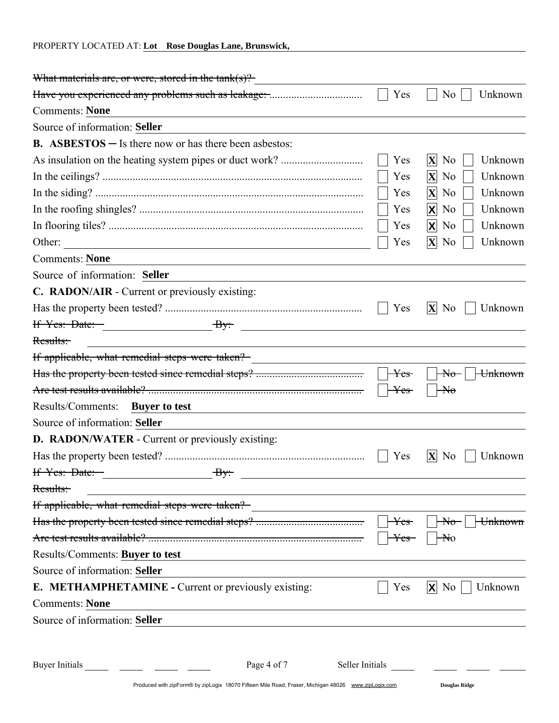| PROPERTY LOCATED AT: Lot Rose Douglas Lane, Brunswick,                                                                                                                                                                                                 |                         |                                      |
|--------------------------------------------------------------------------------------------------------------------------------------------------------------------------------------------------------------------------------------------------------|-------------------------|--------------------------------------|
| What materials are, or were, stored in the $\text{tank}(s)$ ?                                                                                                                                                                                          |                         |                                      |
|                                                                                                                                                                                                                                                        | Yes                     | Unknown<br>N <sub>0</sub>            |
| <b>Comments: None</b>                                                                                                                                                                                                                                  |                         |                                      |
| Source of information: Seller                                                                                                                                                                                                                          |                         |                                      |
| <b>B.</b> ASBESTOS $-$ Is there now or has there been asbestos:                                                                                                                                                                                        |                         |                                      |
|                                                                                                                                                                                                                                                        | Yes                     | $\mathbf{X}$ No<br>Unknown           |
|                                                                                                                                                                                                                                                        | Yes                     | $ X $ No<br>Unknown                  |
|                                                                                                                                                                                                                                                        | Yes                     | $\mathbf{X}$ No<br>Unknown           |
|                                                                                                                                                                                                                                                        | Yes                     | $\mathsf{X}$ No<br>Unknown           |
|                                                                                                                                                                                                                                                        | Yes                     | $X$ No<br>Unknown                    |
| Other:<br><u> 1980 - Johann Barn, fransk politik (d. 1980)</u>                                                                                                                                                                                         | Yes                     | $ X $ No<br>Unknown                  |
| <b>Comments: None</b>                                                                                                                                                                                                                                  |                         |                                      |
| Source of information: Seller                                                                                                                                                                                                                          |                         |                                      |
| C. RADON/AIR - Current or previously existing:                                                                                                                                                                                                         |                         |                                      |
|                                                                                                                                                                                                                                                        | Yes                     | $ X $ No<br>Unknown                  |
| If $Yes: Date:$ $By:$                                                                                                                                                                                                                                  |                         |                                      |
| Results:                                                                                                                                                                                                                                               |                         |                                      |
| If applicable, what remedial steps were taken? _________________________________                                                                                                                                                                       |                         |                                      |
|                                                                                                                                                                                                                                                        | $\mathrm{H}\mathrm{es}$ | $\theta$<br><del>Unknown</del>       |
|                                                                                                                                                                                                                                                        | $\mathrm{Yes}$          | $\del{\pi}$ o                        |
| Results/Comments:<br><b>Buyer to test</b>                                                                                                                                                                                                              |                         |                                      |
| Source of information: Seller                                                                                                                                                                                                                          |                         |                                      |
| D. RADON/WATER - Current or previously existing:                                                                                                                                                                                                       |                         |                                      |
|                                                                                                                                                                                                                                                        | $\Box$ Yes<br>Yes       | $\overline{X}$ No<br>Unknown         |
| If $Y$ es: Date: $\qquad \qquad \qquad$ By:                                                                                                                                                                                                            |                         |                                      |
| Results:<br><u> 1989 - Johann Stein, marwolaethau a bhann an t-Amhair an t-Amhair an t-Amhair an t-Amhair an t-Amhair an t-A</u>                                                                                                                       |                         |                                      |
|                                                                                                                                                                                                                                                        |                         |                                      |
|                                                                                                                                                                                                                                                        | Yes-                    | $A\rightarrow$<br><del>Unknown</del> |
|                                                                                                                                                                                                                                                        | ¥es                     | Nο                                   |
| Results/Comments: Buyer to test<br><u> 1989 - Johann Barn, mars eta bainar eta baina eta baina eta baina eta baina eta baina eta baina eta baina e</u>                                                                                                 |                         |                                      |
| Source of information: Seller                                                                                                                                                                                                                          |                         |                                      |
| <b>E. METHAMPHETAMINE - Current or previously existing:</b>                                                                                                                                                                                            | Yes                     | $\mathsf{X}$ No<br>Unknown           |
| <b>Comments: None</b><br>the control of the control of the control of the control of the control of the control of the control of the control of the control of the control of the control of the control of the control of the control of the control |                         |                                      |
| Source of information: Seller                                                                                                                                                                                                                          |                         |                                      |
|                                                                                                                                                                                                                                                        |                         |                                      |
| Buyer Initials<br>Page 4 of 7                                                                                                                                                                                                                          | Seller Initials         |                                      |
| Produced with zipForm® by zipLogix 18070 Fifteen Mile Road, Fraser, Michigan 48026 www.zipLogix.com                                                                                                                                                    |                         | <b>Douglas Ridge</b>                 |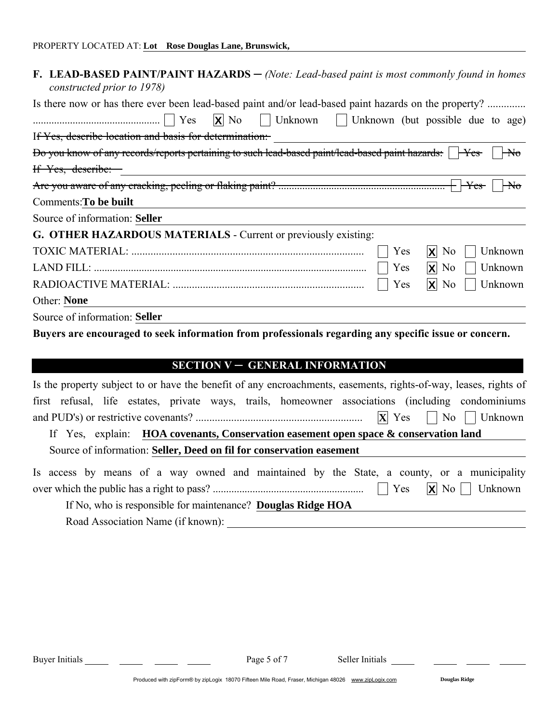| F. LEAD-BASED PAINT/PAINT HAZARDS - (Note: Lead-based paint is most commonly found in homes<br>constructed prior to 1978)                                                                                                                                                                                                                    |
|----------------------------------------------------------------------------------------------------------------------------------------------------------------------------------------------------------------------------------------------------------------------------------------------------------------------------------------------|
| Is there now or has there ever been lead-based paint and/or lead-based paint hazards on the property?                                                                                                                                                                                                                                        |
| $\ldots$ $\ldots$ $\ldots$ $\ldots$ $\ldots$ $\ldots$ $\ldots$ $\ldots$ $\ldots$ $\ldots$ $\ldots$ $\ldots$ $\ldots$ $\ldots$ $\ldots$ $\ldots$ $\ldots$ $\ldots$ $\ldots$ $\ldots$ $\ldots$ $\ldots$ $\ldots$ $\ldots$ $\ldots$ $\ldots$ $\ldots$ $\ldots$ $\ldots$ $\ldots$ $\ldots$ $\ldots$ $\ldots$ $\ldots$ $\ldots$ $\ldots$ $\ldots$ |
| If Yes, describe location and basis for determination:                                                                                                                                                                                                                                                                                       |
| Bo you know of any records/reports pertaining to such lead-based paint/lead-based paint hazards: FYes-<br>$\overline{\mathsf{H}\mathsf{d}}$                                                                                                                                                                                                  |
| If Yes, describe:                                                                                                                                                                                                                                                                                                                            |
|                                                                                                                                                                                                                                                                                                                                              |
| Comments: To be built                                                                                                                                                                                                                                                                                                                        |
| Source of information: Seller                                                                                                                                                                                                                                                                                                                |
| G. OTHER HAZARDOUS MATERIALS - Current or previously existing:                                                                                                                                                                                                                                                                               |
| Yes<br>$X$ No<br>Unknown                                                                                                                                                                                                                                                                                                                     |
| $ X $ No<br>Unknown<br>Yes                                                                                                                                                                                                                                                                                                                   |
| $\mathsf{X}$ No<br>Yes<br>Unknown                                                                                                                                                                                                                                                                                                            |
| Other: None                                                                                                                                                                                                                                                                                                                                  |
| Source of information: Seller                                                                                                                                                                                                                                                                                                                |
| Buyers are encouraged to seek information from professionals regarding any specific issue or concern.                                                                                                                                                                                                                                        |

## SECTION V - GENERAL INFORMATION

| Is the property subject to or have the benefit of any encroachments, easements, rights-of-way, leases, rights of |
|------------------------------------------------------------------------------------------------------------------|
| first refusal, life estates, private ways, trails, homeowner associations (including condominiums                |
|                                                                                                                  |
| If Yes, explain: <b>HOA</b> covenants, Conservation easement open space $\&$ conservation land                   |
| Source of information: Seller, Deed on fil for conservation easement                                             |
| Is access by means of a way owned and maintained by the State, a county, or a municipality                       |
|                                                                                                                  |
| If No, who is responsible for maintenance? Douglas Ridge HOA                                                     |
| Road Association Name (if known):                                                                                |

Buyer Initials Page 5 of 7 Seller Initials

 $\overline{\phantom{a}}$  .  $\overline{\phantom{a}}$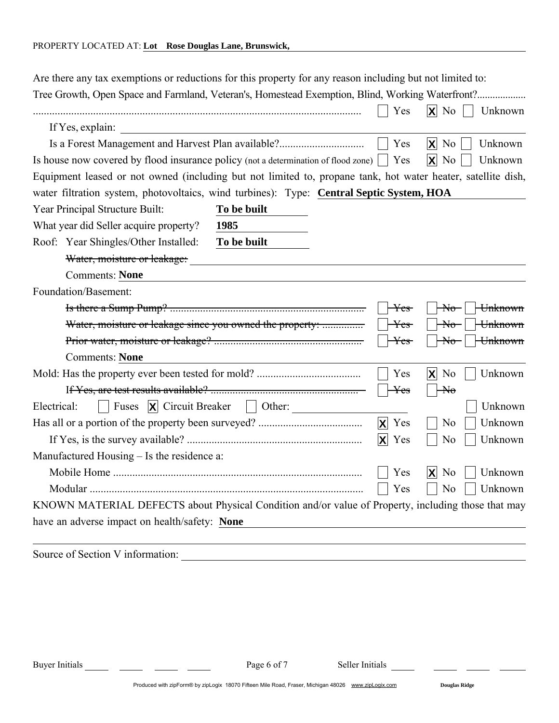| Are there any tax exemptions or reductions for this property for any reason including but not limited to:    |                                                          |                                 |                                              |
|--------------------------------------------------------------------------------------------------------------|----------------------------------------------------------|---------------------------------|----------------------------------------------|
| Tree Growth, Open Space and Farmland, Veteran's, Homestead Exemption, Blind, Working Waterfront?             |                                                          | Yes                             | $\mathsf{X}$ No<br>Unknown                   |
| If Yes, explain:                                                                                             |                                                          |                                 |                                              |
| Is a Forest Management and Harvest Plan available?                                                           |                                                          | Yes                             | $\mathsf{X}$ No<br>Unknown                   |
| Is house now covered by flood insurance policy (not a determination of flood zone)                           |                                                          | Yes                             | $ \mathsf{X} $<br>N <sub>o</sub><br>Unknown  |
| Equipment leased or not owned (including but not limited to, propane tank, hot water heater, satellite dish, |                                                          |                                 |                                              |
| water filtration system, photovoltaics, wind turbines): Type: Central Septic System, HOA                     |                                                          |                                 |                                              |
| Year Principal Structure Built:                                                                              | To be built                                              |                                 |                                              |
| What year did Seller acquire property?                                                                       | 1985                                                     |                                 |                                              |
| Roof: Year Shingles/Other Installed:                                                                         | To be built                                              |                                 |                                              |
| Water, moisture or leakage:                                                                                  |                                                          |                                 |                                              |
| <b>Comments: None</b>                                                                                        |                                                          |                                 |                                              |
| Foundation/Basement:                                                                                         |                                                          |                                 |                                              |
|                                                                                                              |                                                          | $\mathrm{Yes}\text{-}$          | $\overline{\text{No}}$<br><del>Unknown</del> |
|                                                                                                              | Water, moisture or leakage since you owned the property: | $\mathrm{Yes}\,$                | $\overline{\text{No}}$<br><del>Unknown</del> |
|                                                                                                              |                                                          | Yes-                            | Unknown<br>$\overline{\text{No}}$            |
| <b>Comments: None</b>                                                                                        |                                                          |                                 |                                              |
|                                                                                                              |                                                          | Yes                             | $\mathsf{X}$ No<br>Unknown                   |
|                                                                                                              |                                                          | <del>Yes</del>                  | $\overline{\mathsf{H}\mathsf{d}}$            |
| Electrical:                                                                                                  | Fuses $ \mathbf{X} $ Circuit Breaker $ \cdot $ Other:    |                                 | Unknown                                      |
|                                                                                                              |                                                          | $\mathbf{x}$<br>Yes             | Unknown<br>N <sub>o</sub>                    |
|                                                                                                              |                                                          | $\vert \mathbf{X} \vert$<br>Yes | N <sub>0</sub><br>Unknown                    |
| Manufactured Housing - Is the residence a:                                                                   |                                                          |                                 |                                              |
|                                                                                                              |                                                          | Yes                             | $ \mathsf{X} $<br>N <sub>0</sub><br>Unknown  |
|                                                                                                              |                                                          | Yes                             | N <sub>o</sub><br>Unknown                    |
| KNOWN MATERIAL DEFECTS about Physical Condition and/or value of Property, including those that may           |                                                          |                                 |                                              |
| have an adverse impact on health/safety: None                                                                |                                                          |                                 |                                              |
|                                                                                                              |                                                          |                                 |                                              |

Source of Section V information:

Produced with zipForm® by zipLogix 18070 Fifteen Mile Road, Fraser, Michigan 48026 www.zipLogix.com